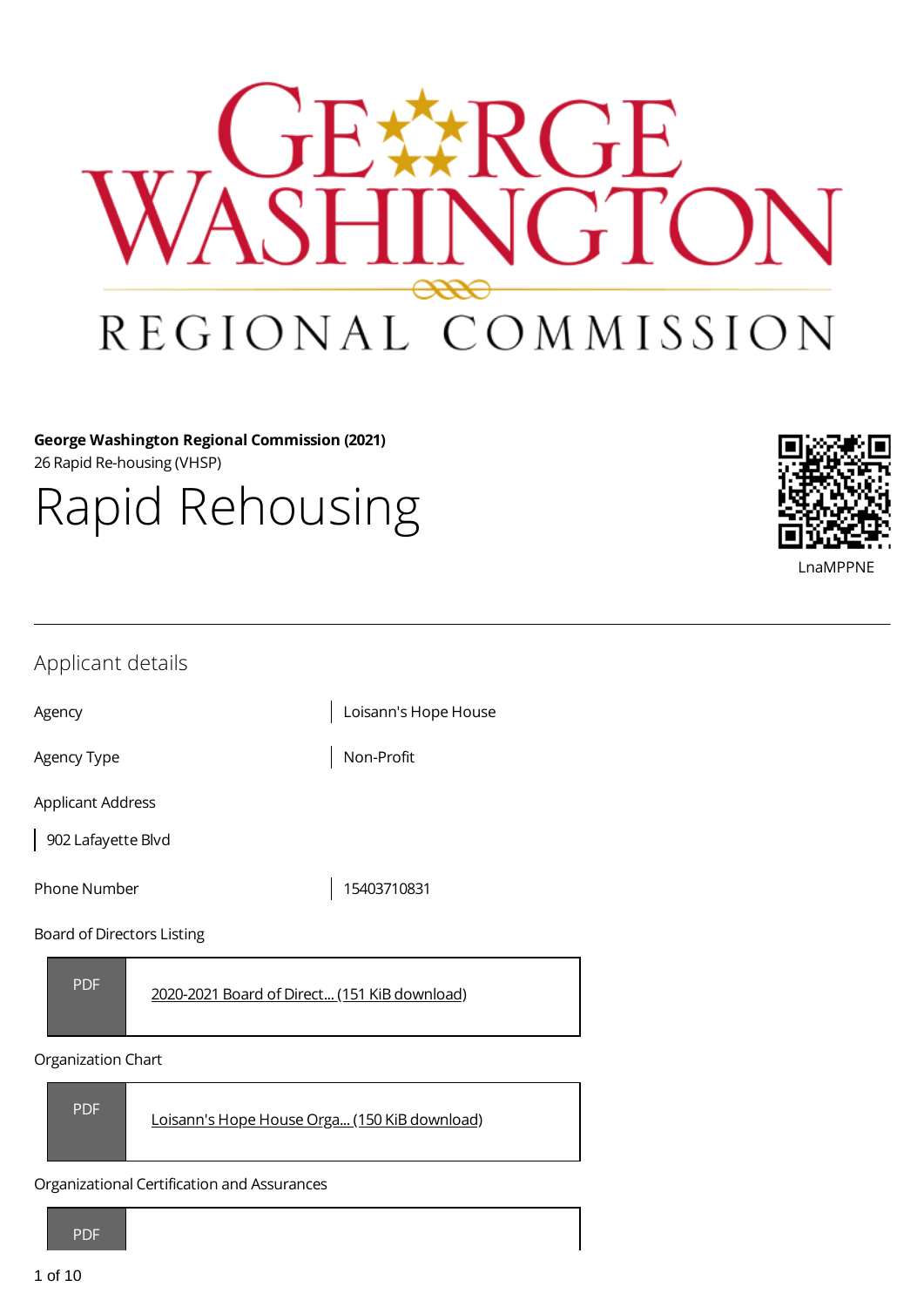

**George Washington Regional Commission (2021)** 26 Rapid Re-housing (VHSP)

Rapid Rehousing

| LnaMPPNE |
|----------|

- -- -

| Applicant details |  |
|-------------------|--|
|-------------------|--|

Agency **Agency Loisann's Hope House** 

Agency Type  $\vert$  Non-Profit

Applicant Address

902 Lafayette Blvd

Phone Number 15403710831

Board of Directors Listing

PDF

2020-2021 Board of Direct... (151 KiB [download\)](https://gwregion.grantplatform.com/r/file/tGh3wj2ZnbZtHYrr)

#### Organization Chart



Organizational Certification and Assurances

PDF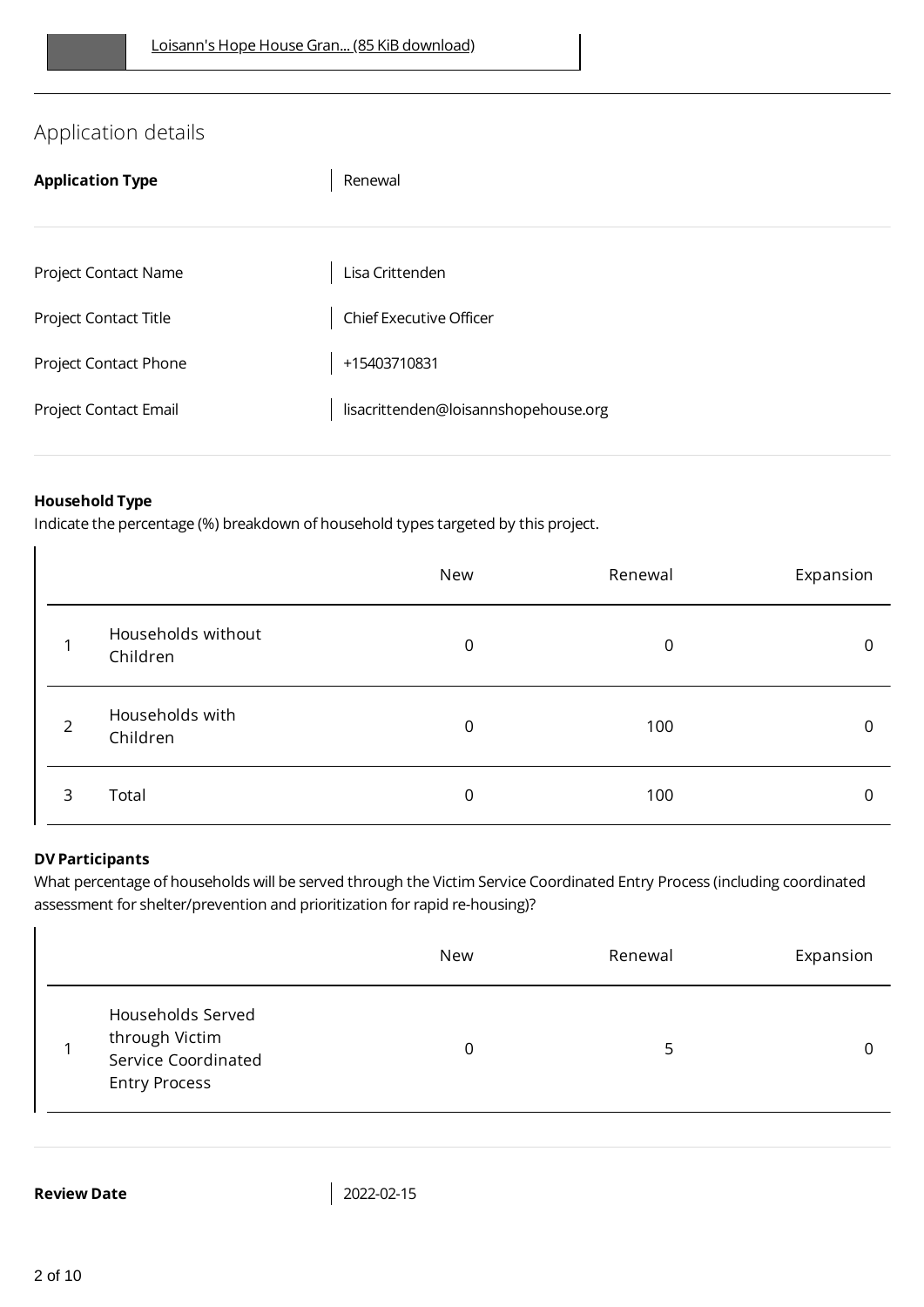# Application details

| <b>Application Type</b> | Renewal                              |
|-------------------------|--------------------------------------|
|                         |                                      |
| Project Contact Name    | Lisa Crittenden                      |
| Project Contact Title   | Chief Executive Officer              |
| Project Contact Phone   | +15403710831                         |
| Project Contact Email   | lisacrittenden@loisannshopehouse.org |
|                         |                                      |

### **Household Type**

Indicate the percentage (%) breakdown of household types targeted by this project.

|                |                                | New         | Renewal | Expansion    |
|----------------|--------------------------------|-------------|---------|--------------|
|                | Households without<br>Children | $\mathbf 0$ | 0       | $\mathbf{0}$ |
| $\overline{2}$ | Households with<br>Children    | $\mathbf 0$ | 100     | 0            |
| 3              | Total                          | 0           | 100     | 0            |

#### **DV Participants**

What percentage of households will be served through the Victim Service Coordinated Entry Process (including coordinated assessment for shelter/prevention and prioritization for rapid re-housing)?

|                                                                                    | New | Renewal | Expansion |
|------------------------------------------------------------------------------------|-----|---------|-----------|
| Households Served<br>through Victim<br>Service Coordinated<br><b>Entry Process</b> | 0   |         |           |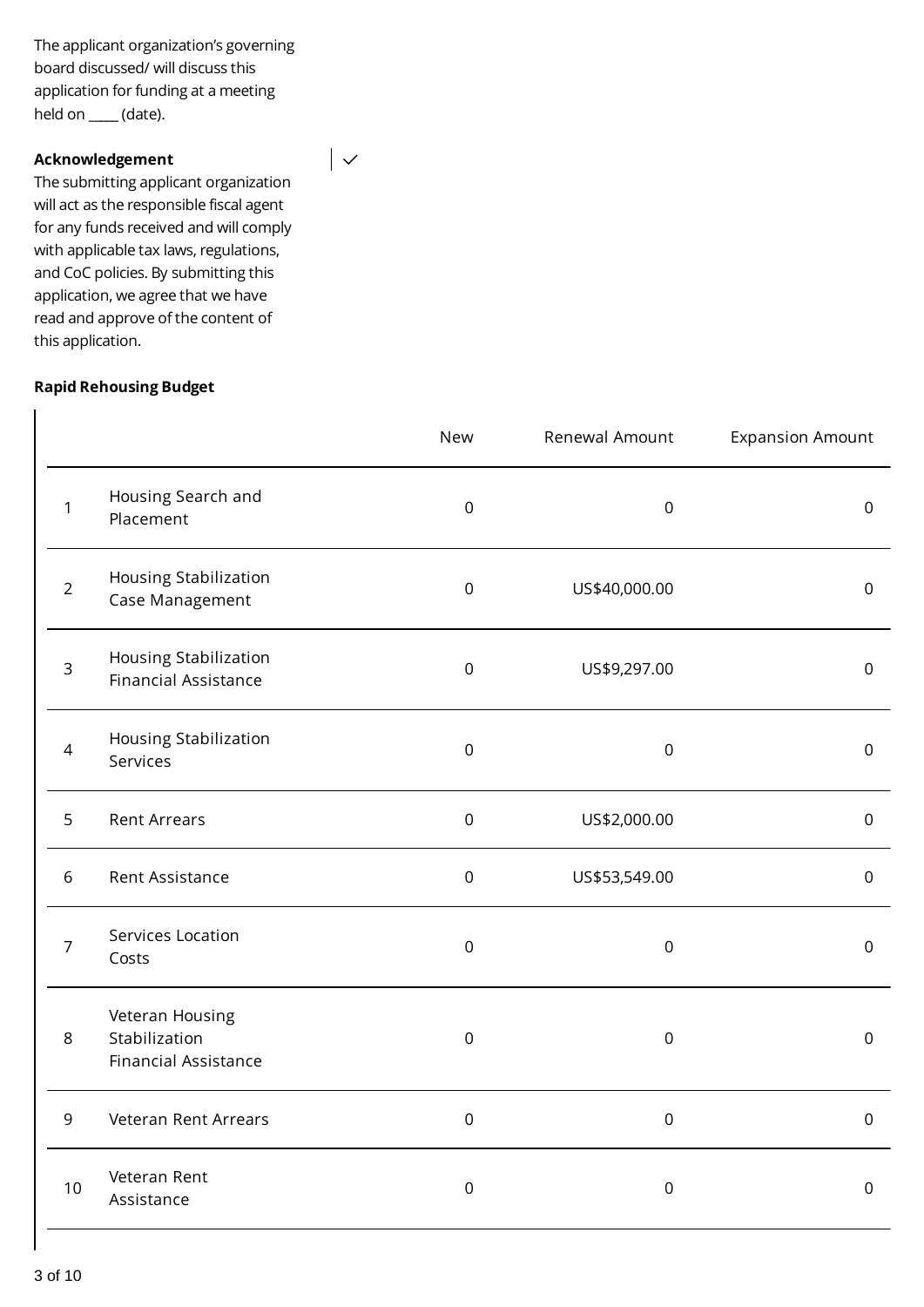The applicant organization's governing board discussed/ will discuss this application for funding at a meeting held on \_**\_\_\_\_** (date).

#### **Acknowledgement**

The submitting applicant organization will act as the responsible fiscal agent for any funds received and will comply with applicable tax laws, regulations, and CoC policies. By submitting this application, we agree that we have read and approve of the content of this application.

#### **Rapid Rehousing Budget**

|                |                                                                 | <b>New</b>          | Renewal Amount      | <b>Expansion Amount</b> |
|----------------|-----------------------------------------------------------------|---------------------|---------------------|-------------------------|
| 1              | Housing Search and<br>Placement                                 | $\mathsf{O}\xspace$ | $\mathsf 0$         | $\boldsymbol{0}$        |
| $\overline{2}$ | Housing Stabilization<br>Case Management                        | $\boldsymbol{0}$    | US\$40,000.00       | $\mathbf 0$             |
| 3              | Housing Stabilization<br><b>Financial Assistance</b>            | $\mathsf 0$         | US\$9,297.00        | $\mathbf 0$             |
| $\overline{4}$ | Housing Stabilization<br>Services                               | $\mathsf{O}\xspace$ | $\mathsf 0$         | $\boldsymbol{0}$        |
| 5              | <b>Rent Arrears</b>                                             | $\boldsymbol{0}$    | US\$2,000.00        | $\mathbf 0$             |
| 6              | Rent Assistance                                                 | $\mathsf{O}\xspace$ | US\$53,549.00       | $\boldsymbol{0}$        |
| 7              | Services Location<br>Costs                                      | $\boldsymbol{0}$    | $\mathbf 0$         | $\mathbf 0$             |
| 8              | Veteran Housing<br>Stabilization<br><b>Financial Assistance</b> | $\mathsf 0$         | $\mathsf{O}\xspace$ | $\mathsf{O}\xspace$     |
| 9              | Veteran Rent Arrears                                            | $\mathsf{O}\xspace$ | $\mathsf 0$         | $\mathsf 0$             |
| 10             | Veteran Rent<br>Assistance                                      | $\mathbf 0$         | $\mathsf 0$         | $\mathbf 0$             |

 $\overline{\phantom{a}}$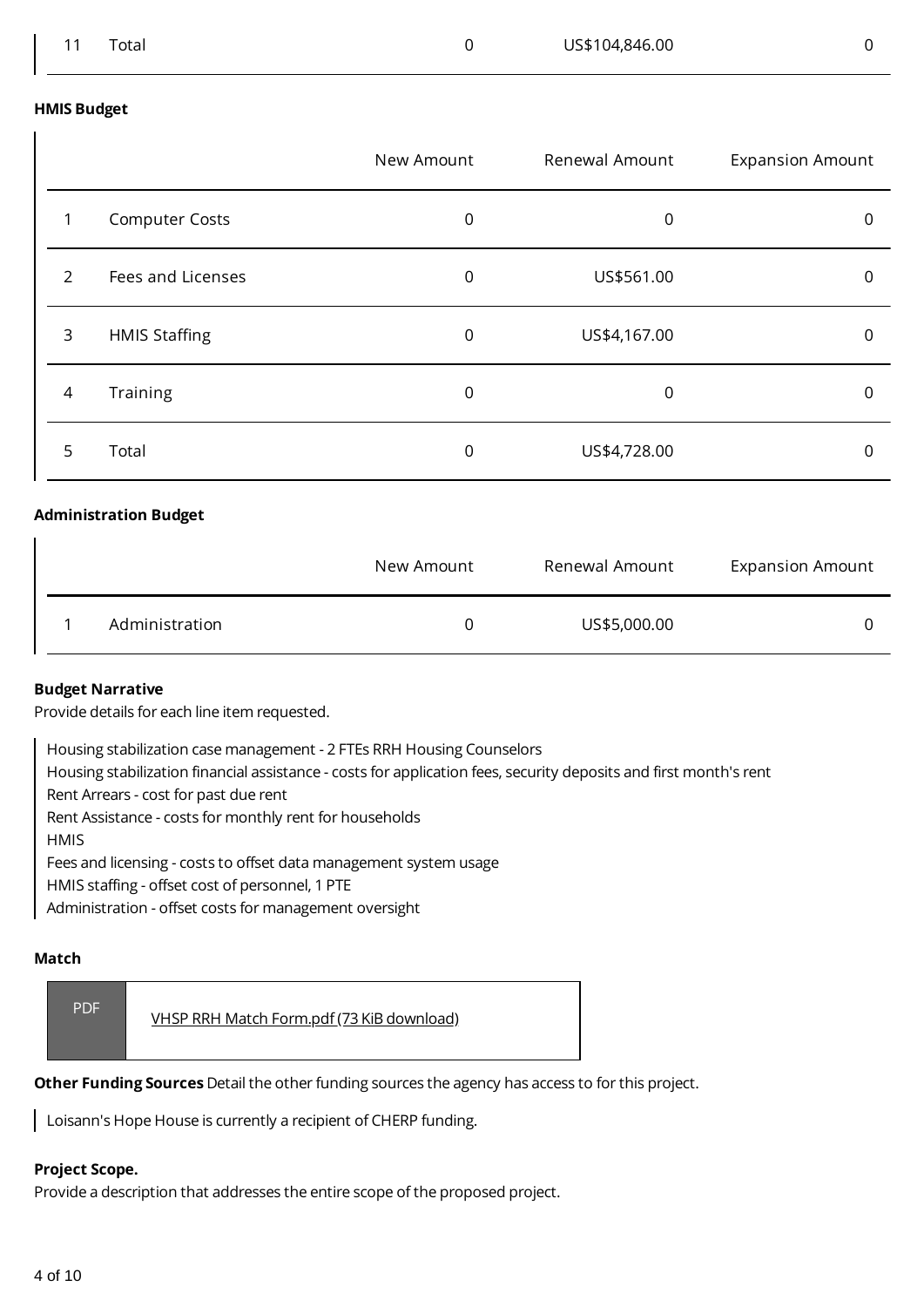#### **HMIS Budget**

|                |                       | New Amount | Renewal Amount | <b>Expansion Amount</b> |
|----------------|-----------------------|------------|----------------|-------------------------|
|                | <b>Computer Costs</b> | 0          | 0              | 0                       |
| $\mathcal{P}$  | Fees and Licenses     | 0          | US\$561.00     | 0                       |
| 3              | <b>HMIS Staffing</b>  | 0          | US\$4,167.00   | 0                       |
| $\overline{4}$ | Training              | 0          | 0              | 0                       |
| 5              | Total                 | 0          | US\$4,728.00   | 0                       |

#### **Administration Budget**

|                | New Amount | Renewal Amount | <b>Expansion Amount</b> |
|----------------|------------|----------------|-------------------------|
| Administration | 0          | US\$5,000.00   |                         |

#### **Budget Narrative**

Provide details for each line item requested.

Housing stabilization case management - 2 FTEs RRH Housing Counselors

Housing stabilization financial assistance - costs for application fees, security deposits and first month's rent

Rent Arrears - cost for past due rent

Rent Assistance - costs for monthly rent for households

**HMIS** 

Fees and licensing - costs to offset data management system usage

HMIS staffing - offset cost of personnel, 1 PTE

Administration - offset costs for management oversight

#### **Match**

| <b>PDF</b> | <u>VHSP RRH Match Form.pdf (73 KiB download)</u> |
|------------|--------------------------------------------------|
|------------|--------------------------------------------------|

**Other Funding Sources** Detail the other funding sources the agency has access to for this project.

Loisann's Hope House is currently a recipient of CHERP funding.

#### **Project Scope.**

Provide a description that addresses the entire scope of the proposed project.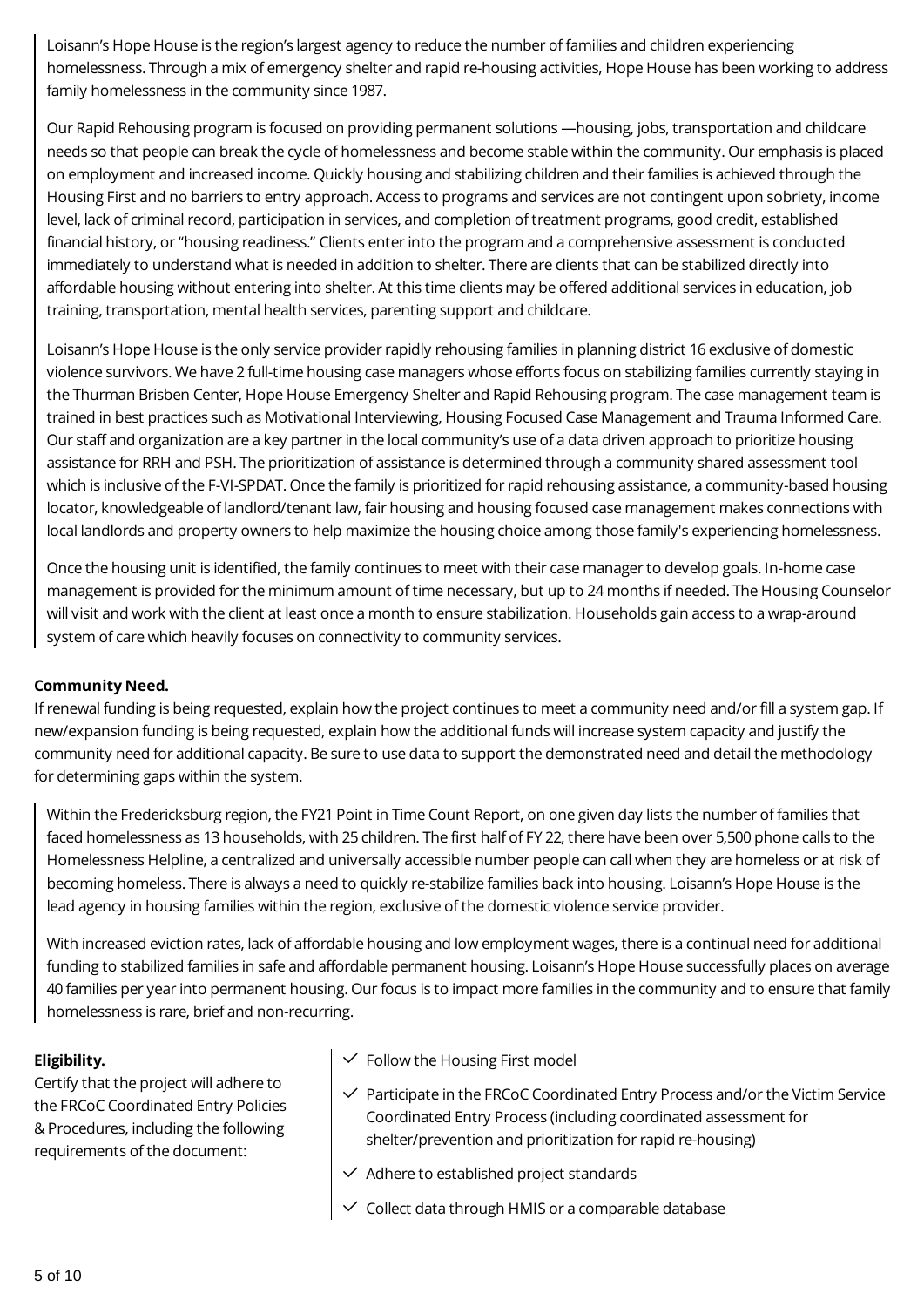Loisann's Hope House is the region's largest agency to reduce the number of families and children experiencing homelessness. Through a mix of emergency shelter and rapid re-housing activities, Hope House has been working to address family homelessness in the community since 1987.

Our Rapid Rehousing program is focused on providing permanent solutions —housing, jobs, transportation and childcare needs so that people can break the cycle of homelessness and become stable within the community. Our emphasis is placed on employment and increased income. Quickly housing and stabilizing children and their families is achieved through the Housing First and no barriers to entry approach. Access to programs and services are not contingent upon sobriety, income level, lack of criminal record, participation in services, and completion of treatment programs, good credit, established financial history, or "housing readiness." Clients enter into the program and a comprehensive assessment is conducted immediately to understand what is needed in addition to shelter. There are clients that can be stabilized directly into affordable housing without entering into shelter. At this time clients may be offered additional services in education, job training, transportation, mental health services, parenting support and childcare.

Loisann's Hope House is the only service provider rapidly rehousing families in planning district 16 exclusive of domestic violence survivors. We have 2 full-time housing case managers whose efforts focus on stabilizing families currently staying in the Thurman Brisben Center, Hope House Emergency Shelter and Rapid Rehousing program. The case management team is trained in best practices such as Motivational Interviewing, Housing Focused Case Management and Trauma Informed Care. Our staff and organization are a key partner in the local community's use of a data driven approach to prioritize housing assistance for RRH and PSH. The prioritization of assistance is determined through a community shared assessment tool which is inclusive of the F-VI-SPDAT. Once the family is prioritized for rapid rehousing assistance, a community-based housing locator, knowledgeable of landlord/tenant law, fair housing and housing focused case management makes connections with local landlords and property owners to help maximize the housing choice among those family's experiencing homelessness.

Once the housing unit is identified, the family continues to meet with their case manager to develop goals. In-home case management is provided for the minimum amount of time necessary, but up to 24 months if needed. The Housing Counselor will visit and work with the client at least once a month to ensure stabilization. Households gain access to a wrap-around system of care which heavily focuses on connectivity to community services.

#### **Community Need.**

If renewal funding is being requested, explain how the project continues to meet a community need and/or fill a system gap. If new/expansion funding is being requested, explain how the additional funds will increase system capacity and justify the community need for additional capacity. Be sure to use data to support the demonstrated need and detail the methodology for determining gaps within the system.

Within the Fredericksburg region, the FY21 Point in Time Count Report, on one given day lists the number of families that faced homelessness as 13 households, with 25 children. The first half of FY 22, there have been over 5,500 phone calls to the Homelessness Helpline, a centralized and universally accessible number people can call when they are homeless or at risk of becoming homeless. There is always a need to quickly re-stabilize families back into housing. Loisann's Hope House is the lead agency in housing families within the region, exclusive of the domestic violence service provider.

With increased eviction rates, lack of affordable housing and low employment wages, there is a continual need for additional funding to stabilized families in safe and affordable permanent housing. Loisann's Hope House successfully places on average 40 families per year into permanent housing. Our focus is to impact more families in the community and to ensure that family homelessness is rare, brief and non-recurring.

# **Eligibility.**

Certify that the project will adhere to the FRCoC Coordinated Entry Policies & Procedures, including the following requirements of the document:

- $\checkmark$  Follow the Housing First model
- $\checkmark$  Participate in the FRCoC Coordinated Entry Process and/or the Victim Service Coordinated Entry Process (including coordinated assessment for shelter/prevention and prioritization for rapid re-housing)
- $\vee$  Adhere to established project standards
- $\vee$  Collect data through HMIS or a comparable database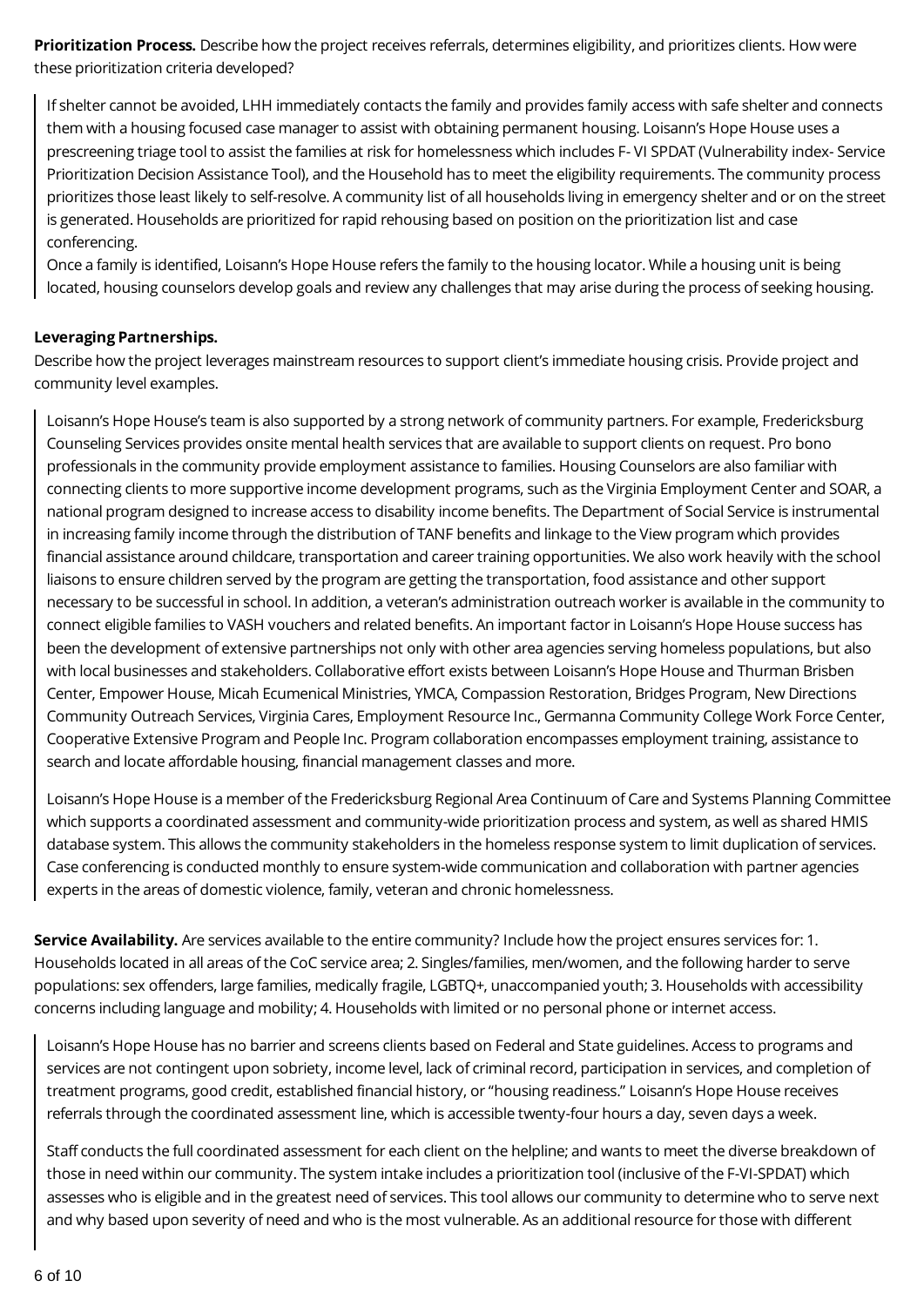**Prioritization Process.** Describe how the project receives referrals, determines eligibility, and prioritizes clients. How were these prioritization criteria developed?

If shelter cannot be avoided, LHH immediately contacts the family and provides family access with safe shelter and connects them with a housing focused case manager to assist with obtaining permanent housing. Loisann's Hope House uses a prescreening triage tool to assist the families at risk for homelessness which includes F- VI SPDAT (Vulnerability index- Service Prioritization Decision Assistance Tool), and the Household has to meet the eligibility requirements. The community process prioritizes those least likely to self-resolve. A community list of all households living in emergency shelter and or on the street is generated. Households are prioritized for rapid rehousing based on position on the prioritization list and case conferencing.

Once a family is identified, Loisann's Hope House refers the family to the housing locator. While a housing unit is being located, housing counselors develop goals and review any challenges that may arise during the process of seeking housing.

### **Leveraging Partnerships.**

Describe how the project leverages mainstream resources to support client's immediate housing crisis. Provide project and community level examples.

Loisann's Hope House's team is also supported by a strong network of community partners. For example, Fredericksburg Counseling Services provides onsite mental health services that are available to support clients on request. Pro bono professionals in the community provide employment assistance to families. Housing Counselors are also familiar with connecting clients to more supportive income development programs, such as the Virginia Employment Center and SOAR, a national program designed to increase access to disability income benefits. The Department of Social Service is instrumental in increasing family income through the distribution of TANF benefits and linkage to the View program which provides financial assistance around childcare, transportation and career training opportunities. We also work heavily with the school liaisons to ensure children served by the program are getting the transportation, food assistance and other support necessary to be successful in school. In addition, a veteran's administration outreach worker is available in the community to connect eligible families to VASH vouchers and related benefits. An important factor in Loisann's Hope House success has been the development of extensive partnerships not only with other area agencies serving homeless populations, but also with local businesses and stakeholders. Collaborative effort exists between Loisann's Hope House and Thurman Brisben Center, Empower House, Micah Ecumenical Ministries, YMCA, Compassion Restoration, Bridges Program, New Directions Community Outreach Services, Virginia Cares, Employment Resource Inc., Germanna Community College Work Force Center, Cooperative Extensive Program and People Inc. Program collaboration encompasses employment training, assistance to search and locate affordable housing, financial management classes and more.

Loisann's Hope House is a member of the Fredericksburg Regional Area Continuum of Care and Systems Planning Committee which supports a coordinated assessment and community-wide prioritization process and system, as well as shared HMIS database system. This allows the community stakeholders in the homeless response system to limit duplication of services. Case conferencing is conducted monthly to ensure system-wide communication and collaboration with partner agencies experts in the areas of domestic violence, family, veteran and chronic homelessness.

**Service Availability.** Are services available to the entire community? Include how the project ensures services for: 1. Households located in all areas of the CoC service area; 2. Singles/families, men/women, and the following harder to serve populations: sex offenders, large families, medically fragile, LGBTQ+, unaccompanied youth; 3. Households with accessibility concerns including language and mobility; 4. Households with limited or no personal phone or internet access.

Loisann's Hope House has no barrier and screens clients based on Federal and State guidelines. Access to programs and services are not contingent upon sobriety, income level, lack of criminal record, participation in services, and completion of treatment programs, good credit, established financial history, or "housing readiness." Loisann's Hope House receives referrals through the coordinated assessment line, which is accessible twenty-four hours a day, seven days a week.

Staff conducts the full coordinated assessment for each client on the helpline; and wants to meet the diverse breakdown of those in need within our community. The system intake includes a prioritization tool (inclusive of the F-VI-SPDAT) which assesses who is eligible and in the greatest need of services. This tool allows our community to determine who to serve next and why based upon severity of need and who is the most vulnerable. As an additional resource for those with different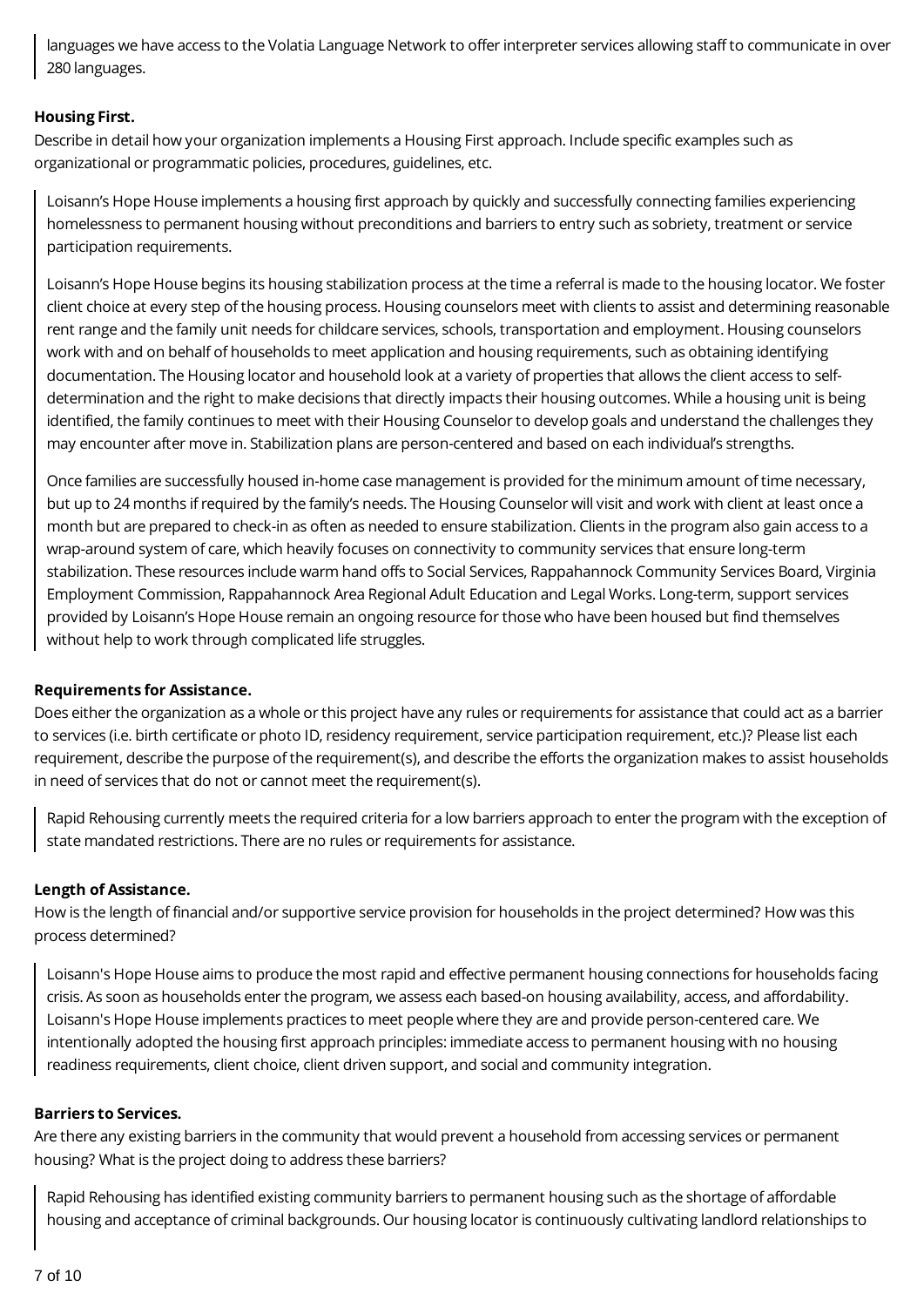languages we have access to the Volatia Language Network to offer interpreter services allowing staff to communicate in over 280 languages.

### **Housing First.**

Describe in detail how your organization implements a Housing First approach. Include specific examples such as organizational or programmatic policies, procedures, guidelines, etc.

Loisann's Hope House implements a housing first approach by quickly and successfully connecting families experiencing homelessness to permanent housing without preconditions and barriers to entry such as sobriety, treatment or service participation requirements.

Loisann's Hope House begins its housing stabilization process at the time a referral is made to the housing locator. We foster client choice at every step of the housing process. Housing counselors meet with clients to assist and determining reasonable rent range and the family unit needs for childcare services, schools, transportation and employment. Housing counselors work with and on behalf of households to meet application and housing requirements, such as obtaining identifying documentation. The Housing locator and household look at a variety of properties that allows the client access to selfdetermination and the right to make decisions that directly impacts their housing outcomes. While a housing unit is being identified, the family continues to meet with their Housing Counselor to develop goals and understand the challenges they may encounter after move in. Stabilization plans are person-centered and based on each individual's strengths.

Once families are successfully housed in-home case management is provided for the minimum amount of time necessary, but up to 24 months if required by the family's needs. The Housing Counselor will visit and work with client at least once a month but are prepared to check-in as often as needed to ensure stabilization. Clients in the program also gain access to a wrap-around system of care, which heavily focuses on connectivity to community services that ensure long-term stabilization. These resources include warm hand offs to Social Services, Rappahannock Community Services Board, Virginia Employment Commission, Rappahannock Area Regional Adult Education and Legal Works. Long-term, support services provided by Loisann's Hope House remain an ongoing resource for those who have been housed but find themselves without help to work through complicated life struggles.

#### **Requirements for Assistance.**

Does either the organization as a whole or this project have any rules or requirements for assistance that could act as a barrier to services (i.e. birth certificate or photo ID, residency requirement, service participation requirement, etc.)? Please list each requirement, describe the purpose of the requirement(s), and describe the efforts the organization makes to assist households in need of services that do not or cannot meet the requirement(s).

Rapid Rehousing currently meets the required criteria for a low barriers approach to enter the program with the exception of state mandated restrictions. There are no rules or requirements for assistance.

#### **Length of Assistance.**

How is the length of financial and/or supportive service provision for households in the project determined? How was this process determined?

Loisann's Hope House aims to produce the most rapid and effective permanent housing connections for households facing crisis. As soon as households enter the program, we assess each based-on housing availability, access, and affordability. Loisann's Hope House implements practices to meet people where they are and provide person-centered care. We intentionally adopted the housing first approach principles: immediate access to permanent housing with no housing readiness requirements, client choice, client driven support, and social and community integration.

#### **Barriers to Services.**

Are there any existing barriers in the community that would prevent a household from accessing services or permanent housing? What is the project doing to address these barriers?

Rapid Rehousing has identified existing community barriers to permanent housing such as the shortage of affordable housing and acceptance of criminal backgrounds. Our housing locator is continuously cultivating landlord relationships to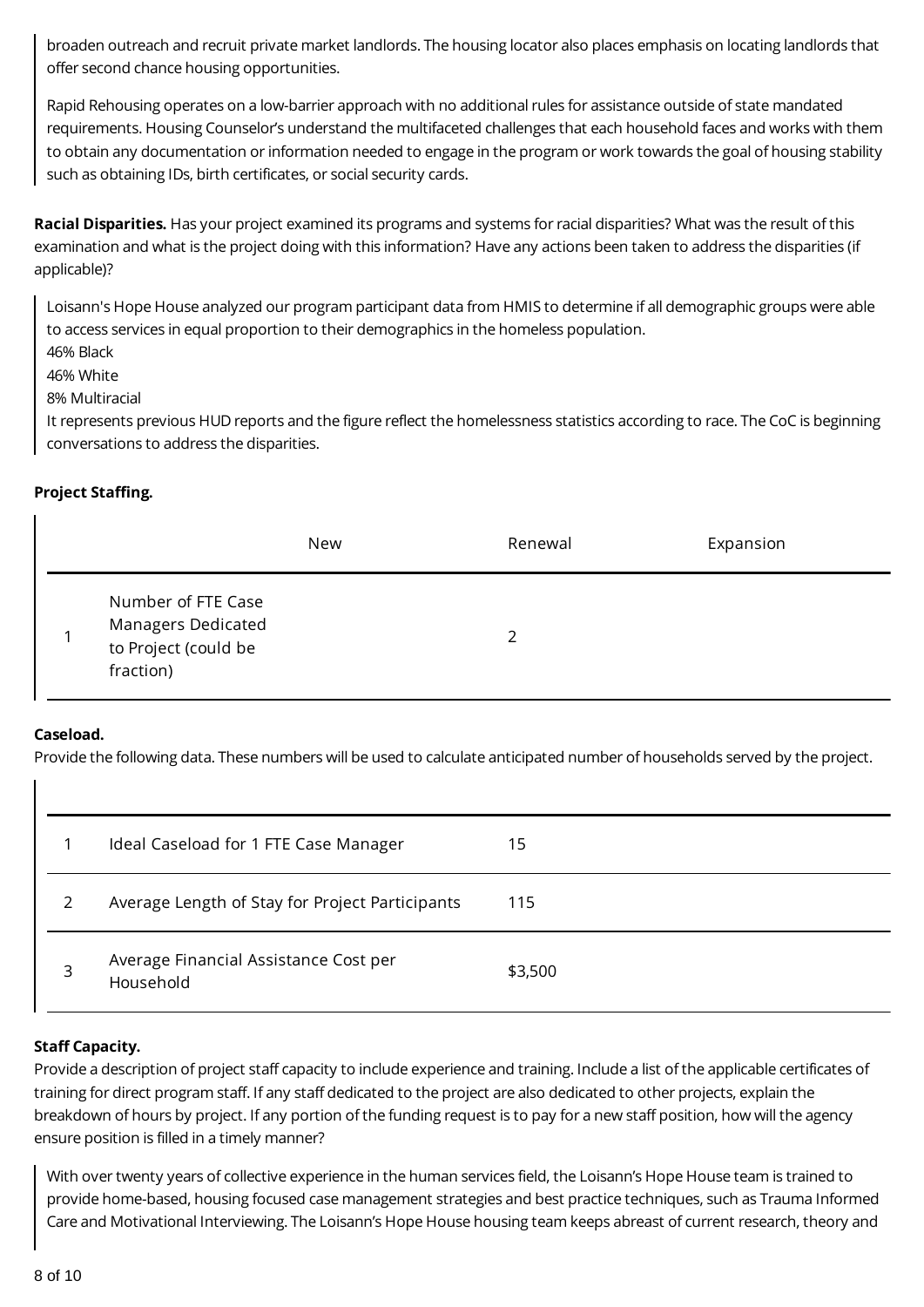broaden outreach and recruit private market landlords. The housing locator also places emphasis on locating landlords that offer second chance housing opportunities.

Rapid Rehousing operates on a low-barrier approach with no additional rules for assistance outside of state mandated requirements. Housing Counselor's understand the multifaceted challenges that each household faces and works with them to obtain any documentation or information needed to engage in the program or work towards the goal of housing stability such as obtaining IDs, birth certificates, or social security cards.

**Racial Disparities.** Has your project examined its programs and systems for racial disparities? What was the result of this examination and what is the project doing with this information? Have any actions been taken to address the disparities (if applicable)?

Loisann's Hope House analyzed our program participant data from HMIS to determine if all demographic groups were able to access services in equal proportion to their demographics in the homeless population.

- 46% Black
- 46% White
- 8% Multiracial

It represents previous HUD reports and the figure reflect the homelessness statistics according to race. The CoC is beginning conversations to address the disparities.

### **Project Staffing.**

|                                                                               | New | Renewal       | Expansion |
|-------------------------------------------------------------------------------|-----|---------------|-----------|
| Number of FTE Case<br>Managers Dedicated<br>to Project (could be<br>fraction) |     | $\mathcal{D}$ |           |

#### **Caseload.**

Provide the following data. These numbers will be used to calculate anticipated number of households served by the project.

|   | Ideal Caseload for 1 FTE Case Manager              | 15      |
|---|----------------------------------------------------|---------|
|   | Average Length of Stay for Project Participants    | 115     |
| 3 | Average Financial Assistance Cost per<br>Household | \$3,500 |

# **Staff Capacity.**

Provide a description of project staff capacity to include experience and training. Include a list of the applicable certificates of training for direct program staff. If any staff dedicated to the project are also dedicated to other projects, explain the breakdown of hours by project. If any portion of the funding request is to pay for a new staff position, how will the agency ensure position is filled in a timely manner?

With over twenty years of collective experience in the human services field, the Loisann's Hope House team is trained to provide home-based, housing focused case management strategies and best practice techniques, such as Trauma Informed Care and Motivational Interviewing. The Loisann's Hope House housing team keeps abreast of current research, theory and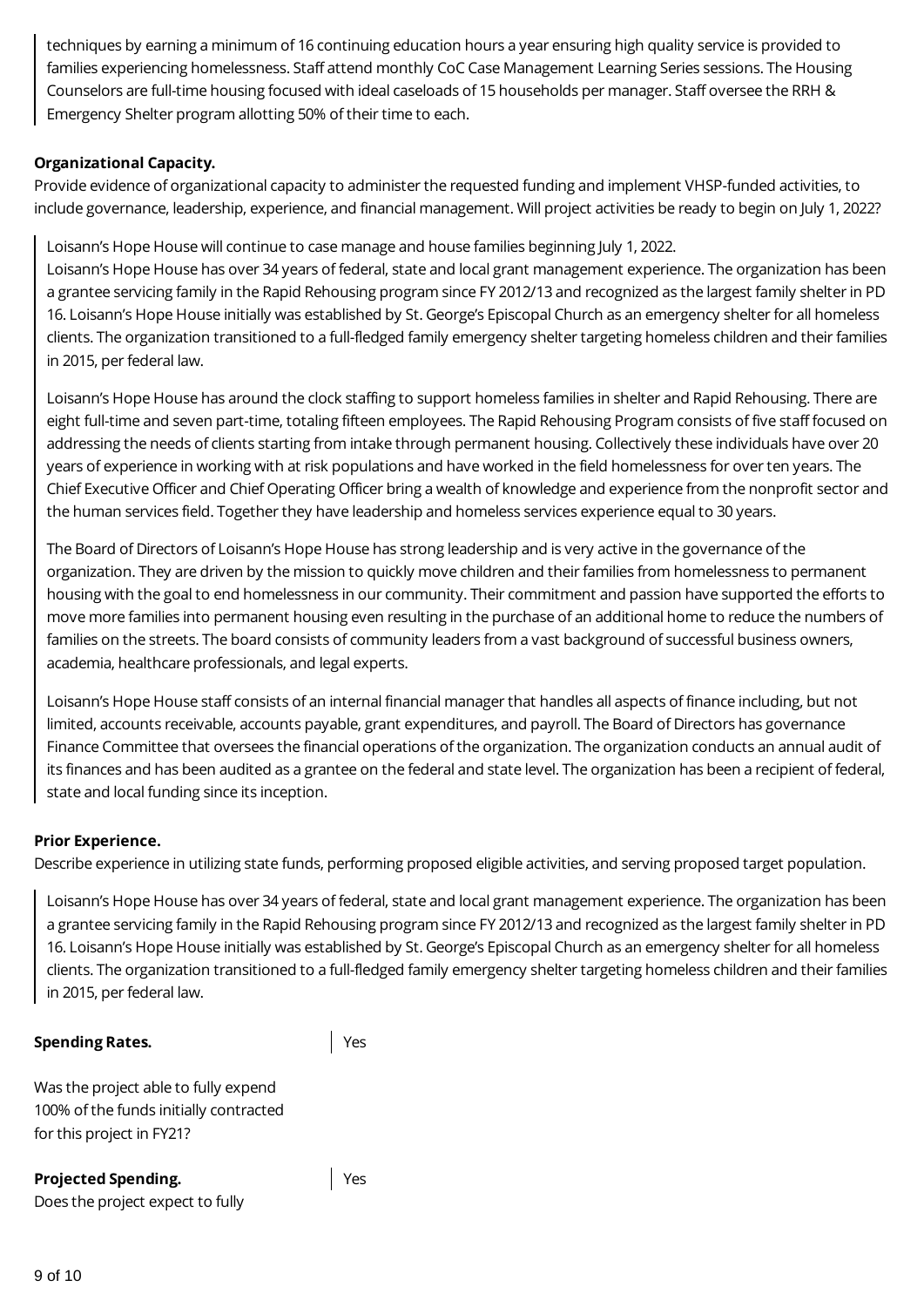techniques by earning a minimum of 16 continuing education hours a year ensuring high quality service is provided to families experiencing homelessness. Staff attend monthly CoC Case Management Learning Series sessions. The Housing Counselors are full-time housing focused with ideal caseloads of 15 households per manager. Staff oversee the RRH & Emergency Shelter program allotting 50% of their time to each.

#### **Organizational Capacity.**

Provide evidence of organizational capacity to administer the requested funding and implement VHSP-funded activities, to include governance, leadership, experience, and financial management. Will project activities be ready to begin on July 1, 2022?

Loisann's Hope House will continue to case manage and house families beginning July 1, 2022.

Loisann's Hope House has over 34 years of federal, state and local grant management experience. The organization has been a grantee servicing family in the Rapid Rehousing program since FY 2012/13 and recognized as the largest family shelter in PD 16. Loisann's Hope House initially was established by St. George's Episcopal Church as an emergency shelter for all homeless clients. The organization transitioned to a full-fledged family emergency shelter targeting homeless children and their families in 2015, per federal law.

Loisann's Hope House has around the clock staffing to support homeless families in shelter and Rapid Rehousing. There are eight full-time and seven part-time, totaling fifteen employees. The Rapid Rehousing Program consists of five staff focused on addressing the needs of clients starting from intake through permanent housing. Collectively these individuals have over 20 years of experience in working with at risk populations and have worked in the field homelessness for over ten years. The Chief Executive Officer and Chief Operating Officer bring a wealth of knowledge and experience from the nonprofit sector and the human services field. Together they have leadership and homeless services experience equal to 30 years.

The Board of Directors of Loisann's Hope House has strong leadership and is very active in the governance of the organization. They are driven by the mission to quickly move children and their families from homelessness to permanent housing with the goal to end homelessness in our community. Their commitment and passion have supported the efforts to move more families into permanent housing even resulting in the purchase of an additional home to reduce the numbers of families on the streets. The board consists of community leaders from a vast background of successful business owners, academia, healthcare professionals, and legal experts.

Loisann's Hope House staff consists of an internal financial manager that handles all aspects of finance including, but not limited, accounts receivable, accounts payable, grant expenditures, and payroll. The Board of Directors has governance Finance Committee that oversees the financial operations of the organization. The organization conducts an annual audit of its finances and has been audited as a grantee on the federal and state level. The organization has been a recipient of federal, state and local funding since its inception.

#### **Prior Experience.**

Describe experience in utilizing state funds, performing proposed eligible activities, and serving proposed target population.

Loisann's Hope House has over 34 years of federal, state and local grant management experience. The organization has been a grantee servicing family in the Rapid Rehousing program since FY 2012/13 and recognized as the largest family shelter in PD 16. Loisann's Hope House initially was established by St. George's Episcopal Church as an emergency shelter for all homeless clients. The organization transitioned to a full-fledged family emergency shelter targeting homeless children and their families in 2015, per federal law.

#### **Spending Rates.**

Yes

Yes

Was the project able to fully expend 100% of the funds initially contracted for this project in FY21?

# **Projected Spending.**

Does the project expect to fully